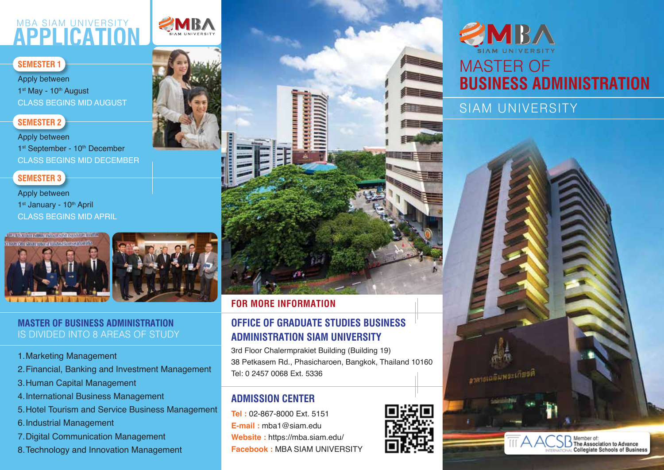### **APPLICATION** MBA SIAM UNIVERSITY

#### **SEMESTER 1**

Apply between 1st May - 10th August CLASS BEGINS MID AUGUST

#### **SEMESTER 2**

Apply between 1st September - 10<sup>th</sup> December CLASS BEGINS MID DECEMBER

#### **SEMESTER 3**

Apply between 1st January - 10th April CLASS BEGINS MID APRIL



#### **MASTER OF BUSINESS ADMINISTRATION** IS DIVIDED INTO 8 AREAS OF STUDY

- 1. Marketing Management
- 2. Financial, Banking and Investment Management
- 3. Human Capital Management
- 4. International Business Management
- 5. Hotel Tourism and Service Business Management
- 6. Industrial Management
- 7. Digital Communication Management
- 8. Technology and Innovation Management



#### **FOR MORE INFORMATION**

#### **OFFICE OF GRADUATE STUDIES BUSINESS ADMINISTRATION SIAM UNIVERSITY**

3rd Floor Chalermprakiet Building (Building 19) 38 Petkasem Rd., Phasicharoen, Bangkok, Thailand 10160 Tel: 0 2457 0068 Ext. 5336

#### **ADMISSION CENTER**

**Tel :** 02-867-8000 Ext. 5151 **E-mail :** mba1@siam.edu **Website :** https://mba.siam.edu/ **Facebook :** MBA SIAM UNIVERSITY



# MBA MASTER OF **BUSINESS ADMINISTRATION**

SIAM UNIVERSITY

อาลายเฉลิมพระเกียรติ

Member of:<br>) The Association to Advance<br>∟Collegiate Schools of Business